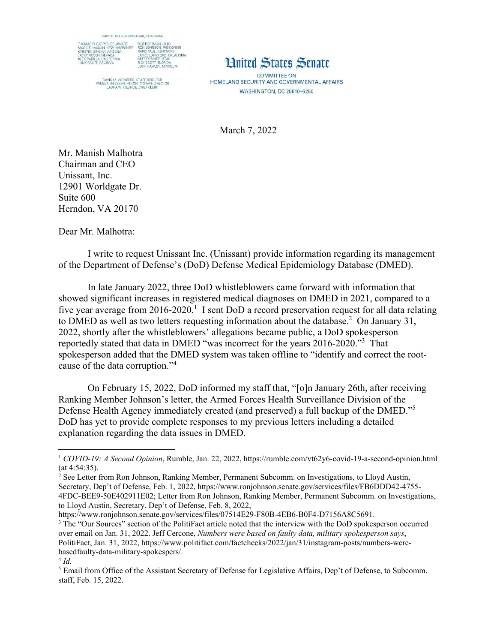



**COMMITTEE ON** HOMELAND SECURITY AND GOVERNMENTAL AFFAIRS **WASHINGTON, DC 20510-6250** 

March 7, 2022

Mr. Manish Malhotra Chairman and CEO Unissant, Inc. 12901 Worldgate Dr. Suite 600 Herndon, VA 20170

Dear Mr. Malhotra:

 I write to request Unissant Inc. (Unissant) provide information regarding its management of the Department of Defense's (DoD) Defense Medical Epidemiology Database (DMED).

In late January 2022, three DoD whistleblowers came forward with information that showed significant increases in registered medical diagnoses on DMED in 2021, compared to a five year average from  $2016$ - $2020$ .<sup>1</sup> I sent DoD a record preservation request for all data relating to DMED as well as two letters requesting information about the database.<sup>2</sup> On January 31, 2022, shortly after the whistleblowers' allegations became public, a DoD spokesperson reportedly stated that data in DMED "was incorrect for the years 2016-2020."<sup>3</sup> That spokesperson added that the DMED system was taken offline to "identify and correct the rootcause of the data corruption."<sup>4</sup>

On February 15, 2022, DoD informed my staff that, "[o]n January 26th, after receiving Ranking Member Johnson's letter, the Armed Forces Health Surveillance Division of the Defense Health Agency immediately created (and preserved) a full backup of the DMED."<sup>5</sup> DoD has yet to provide complete responses to my previous letters including a detailed explanation regarding the data issues in DMED.

https://www.ronjohnson.senate.gov/services/files/07514E29-F80B-4EB6-B0F4-D7156A8C5691.

<sup>1</sup> *COVID-19: A Second Opinion*, Rumble, Jan. 22, 2022, https://rumble.com/vt62y6-covid-19-a-second-opinion.html (at 4:54:35).

<sup>&</sup>lt;sup>2</sup> See Letter from Ron Johnson, Ranking Member, Permanent Subcomm. on Investigations, to Lloyd Austin, Secretary, Dep't of Defense, Feb. 1, 2022, https://www.ronjohnson.senate.gov/services/files/FB6DDD42-4755- 4FDC-BEE9-50E402911E02; Letter from Ron Johnson, Ranking Member, Permanent Subcomm. on Investigations, to Lloyd Austin, Secretary, Dep't of Defense, Feb. 8, 2022,

<sup>&</sup>lt;sup>3</sup> The "Our Sources" section of the PolitiFact article noted that the interview with the DoD spokesperson occurred over email on Jan. 31, 2022. Jeff Cercone, *Numbers were based on faulty data, military spokesperson says*, PolitiFact, Jan. 31, 2022, https://www.politifact.com/factchecks/2022/jan/31/instagram-posts/numbers-werebasedfaulty-data-military-spokespers/.

 $4$   $Id$ .

<sup>&</sup>lt;sup>5</sup> Email from Office of the Assistant Secretary of Defense for Legislative Affairs, Dep't of Defense, to Subcomm. staff, Feb. 15, 2022.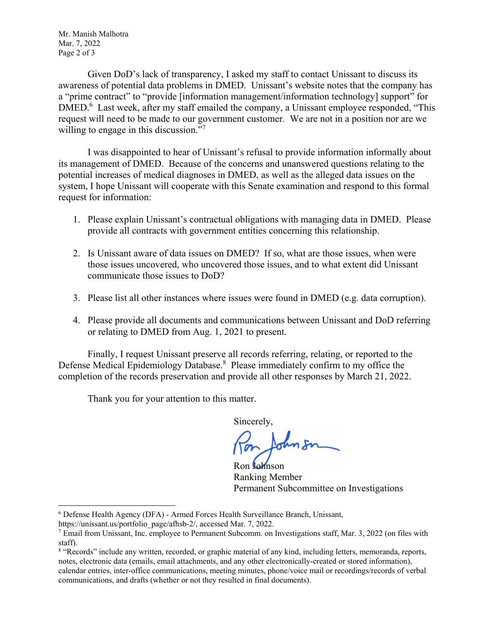Mr. Manish Malhotra Mar. 7, 2022 Page 2 of 3

Given DoD's lack of transparency, I asked my staff to contact Unissant to discuss its awareness of potential data problems in DMED. Unissant's website notes that the company has a "prime contract" to "provide [information management/information technology] support" for DMED.<sup>6</sup> Last week, after my staff emailed the company, a Unissant employee responded, "This request will need to be made to our government customer. We are not in a position nor are we willing to engage in this discussion."<sup>7</sup>

 I was disappointed to hear of Unissant's refusal to provide information informally about its management of DMED. Because of the concerns and unanswered questions relating to the potential increases of medical diagnoses in DMED, as well as the alleged data issues on the system, I hope Unissant will cooperate with this Senate examination and respond to this formal request for information:

- 1. Please explain Unissant's contractual obligations with managing data in DMED. Please provide all contracts with government entities concerning this relationship.
- 2. Is Unissant aware of data issues on DMED? If so, what are those issues, when were those issues uncovered, who uncovered those issues, and to what extent did Unissant communicate those issues to DoD?
- 3. Please list all other instances where issues were found in DMED (e.g. data corruption).
- 4. Please provide all documents and communications between Unissant and DoD referring or relating to DMED from Aug. 1, 2021 to present.

 Finally, I request Unissant preserve all records referring, relating, or reported to the Defense Medical Epidemiology Database.<sup>8</sup> Please immediately confirm to my office the completion of the records preservation and provide all other responses by March 21, 2022.

Thank you for your attention to this matter.

Sincerely,

Ron Johnson Ranking Member Permanent Subcommittee on Investigations

<sup>6</sup> Defense Health Agency (DFA) - Armed Forces Health Surveillance Branch, Unissant,

https://unissant.us/portfolio\_page/afhsb-2/, accessed Mar. 7, 2022.

<sup>&</sup>lt;sup>7</sup> Email from Unissant, Inc. employee to Permanent Subcomm. on Investigations staff, Mar. 3, 2022 (on files with staff).

<sup>&</sup>lt;sup>8</sup> "Records" include any written, recorded, or graphic material of any kind, including letters, memoranda, reports, notes, electronic data (emails, email attachments, and any other electronically-created or stored information), calendar entries, inter-office communications, meeting minutes, phone/voice mail or recordings/records of verbal communications, and drafts (whether or not they resulted in final documents).